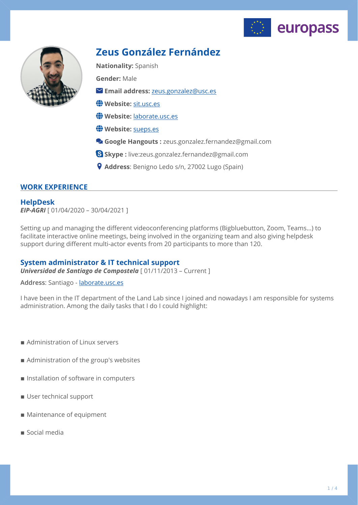



# **Zeus González Fernández**

**Nationality:** Spanish

**Gender:** Male

- **Email address:** [zeus.gonzalez@usc.es](mailto:zeus.gonzalez@usc.es)
- **Website:** [sit.usc.es](http://sit.usc.es)
- **Website:** [laborate.usc.es](http://laborate.usc.es)
- Website: [sueps.es](http://sueps.es)
- **Google Hangouts :** zeus.gonzalez.fernandez@gmail.com
- **Skype :** live:zeus.gonzalez.fernandez@gmail.com
- **Address**: Benigno Ledo s/n, 27002 Lugo (Spain)

# **WORK EXPERIENCE**

# **HelpDesk**

*EIP-AGRI* [ 01/04/2020 – 30/04/2021 ]

Setting up and managing the different videoconferencing platforms (Bigbluebutton, Zoom, Teams...) to facilitate interactive online meetings, being involved in the organizing team and also giving helpdesk support during different multi-actor events from 20 participants to more than 120.

# **System administrator & IT technical support**

*Universidad de Santiago de Compostela* [ 01/11/2013 – Current ]

**Address**: Santiago - [laborate.usc.es](http://laborate.usc.es)

I have been in the IT department of the Land Lab since I joined and nowadays I am responsible for systems administration. Among the daily tasks that I do I could highlight:

- **Administration of Linux servers**
- Administration of the group's websites
- $\blacksquare$  Installation of software in computers
- **User technical support**
- Maintenance of equipment
- $\blacksquare$  Social media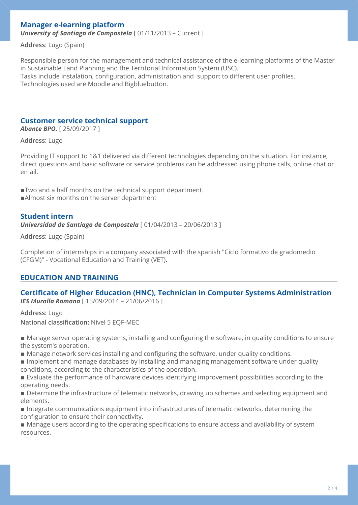# **Manager e-learning platform**

*University of Santiago de Compostela* [ 01/11/2013 – Current ]

**Address**: Lugo (Spain)

Responsible person for the management and technical assistance of the e-learning platforms of the Master in Sustainable Land Planning and the Territorial Information System (USC). Tasks include instalation, configuration, administration and support to different user profiles. Technologies used are Moodle and Bigbluebutton.

# **Customer service technical support**

*Abante BPO.* [ 25/09/2017 ]

#### **Address**: Lugo

Providing IT support to 1&1 delivered via different technologies depending on the situation. For instance, direct questions and basic software or service problems can be addressed using phone calls, online chat or email.

■Two and a half months on the technical support department. **Almost six months on the server department** 

#### **Student intern**

*Universidad de Santiago de Compostela* [ 01/04/2013 – 20/06/2013 ]

**Address**: Lugo (Spain)

Completion of internships in a company associated with the spanish "Ciclo formativo de gradomedio (CFGM)" - Vocational Education and Training (VET).

### **EDUCATION AND TRAINING**

#### **Certificate of Higher Education (HNC), Technician in Computer Systems Administration**  *IES Muralla Romana* [ 15/09/2014 – 21/06/2016 ]

**Address:** Lugo

**National classification:** Nivel 5 EQF-MEC

■ Manage server operating systems, installing and configuring the software, in quality conditions to ensure the system's operation.

■ Manage network services installing and configuring the software, under quality conditions.

**Implement and manage databases by installing and managing management software under quality** conditions, according to the characteristics of the operation.

■ Evaluate the performance of hardware devices identifying improvement possibilities according to the operating needs.

■ Determine the infrastructure of telematic networks, drawing up schemes and selecting equipment and elements.

**Integrate communications equipment into infrastructures of telematic networks, determining the** configuration to ensure their connectivity.

■ Manage users according to the operating specifications to ensure access and availability of system resources.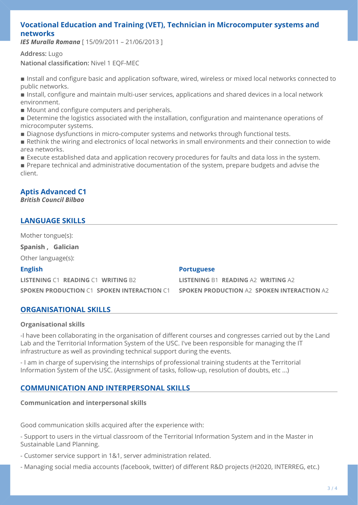# **Vocational Education and Training (VET), Technician in Microcomputer systems and networks**

*IES Muralla Romana* [ 15/09/2011 – 21/06/2013 ]

**Address:** Lugo **National classification:** Nivel 1 EQF-MEC

■ Install and configure basic and application software, wired, wireless or mixed local networks connected to public networks.

**Example 1** Install, configure and maintain multi-user services, applications and shared devices in a local network environment.

- Mount and configure computers and peripherals.
- **Determine the logistics associated with the installation, configuration and maintenance operations of** microcomputer systems.
- Diagnose dysfunctions in micro-computer systems and networks through functional tests.
- Rethink the wiring and electronics of local networks in small environments and their connection to wide area networks.
- **Execute established data and application recovery procedures for faults and data loss in the system.**

**Prepare technical and administrative documentation of the system, prepare budgets and advise the** client.

# **Aptis Advanced C1**

### *British Council Bilbao*

# **LANGUAGE SKILLS**

Mother tongue(s):

**Spanish , Galician**

Other language(s):

### **English**

**LISTENING** C1 **READING** C1 **WRITING** B2 **SPOKEN PRODUCTION** C1 **SPOKEN INTERACTION** C1

### **Portuguese**

**LISTENING** B1 **READING** A2 **WRITING** A2 **SPOKEN PRODUCTION** A2 **SPOKEN INTERACTION** A2

# **ORGANISATIONAL SKILLS**

### **Organisational skills**

-I have been collaborating in the organisation of different courses and congresses carried out by the Land Lab and the Territorial Information System of the USC. I've been responsible for managing the IT infrastructure as well as provinding technical support during the events.

- I am in charge of supervising the internships of professional training students at the Territorial Information System of the USC. (Assignment of tasks, follow-up, resolution of doubts, etc ...)

# **COMMUNICATION AND INTERPERSONAL SKILLS**

### **Communication and interpersonal skills**

Good communication skills acquired after the experience with:

- Support to users in the virtual classroom of the Territorial Information System and in the Master in Sustainable Land Planning.

- Customer service support in 1&1, server administration related.
- Managing social media accounts (facebook, twitter) of different R&D projects (H2020, INTERREG, etc.)